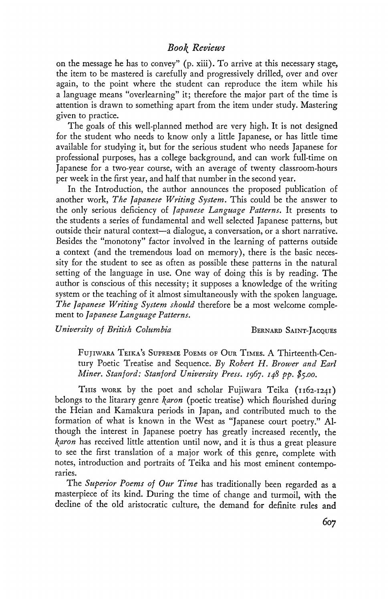## Book Reviews

on the message he has to convey" (p. xiii). To arrive at this necessary stage, the item to be mastered is carefully and progressively drilled, over and over again, to the point where the student can reproduce the item while his a language means "overlearning" it; therefore the major part of the time is attention is drawn to something apart from the item under study. Mastering given to practice.

The goals of this well-planned method are very high. It is not designed for the student who needs to know only a little Japanese, or has little time available for studying it, but for the serious student who needs Japanese for professional purposes, has a college background, and can work full-time on Japanese for a two-year course, with an average of twenty classroom-hours per week in the first year, and half that number in the second year.

In the Introduction, the author announces the proposed publication of another work, The Japanese Writing System. This could be the answer to the only serious deficiency of Japanese Language Patterns. It presents to the students a series of fundamental and well selected Japanese patterns, but outside their natural context—a dialogue, a conversation, or a short narrative. Besides the "monotony" factor involved in the learning of patterns outside a context (and the tremendous load on memory), there is the basic necessity for the student to see as often as possible these patterns in the natural setting of the language in use. One way of doing this is by reading. The author is conscious of this necessity; it supposes a knowledge of the writing system or the teaching of it almost simultaneously with the spoken language. The Japanese Writing System should therefore be a most welcome complement to fapanese Language Patterns.

University of British Columbia BERNARD SAINT-JACQUES

FUJIWARA TEIKA's SUPREME POEMS OF OUR TIMES. A Thirteenth-Century Poetic Treatise and Sequence. By Robert H. Brower and Earl Miner. Stanford: Stanford University Press. 1967. 148 pp. \$5.00.

THIS WORK by the poet and scholar Fujiwara Teika (1162-1241) belongs to the litarary genre karon (poetic treatise) which flourished during the Heian and Kamakura periods in Japan, and contributed much to the formation of what is known in the West as "Japanese court poetry." Although the interest in Japanese poetry has greatly increased recently, the *karon* has received little attention until now, and it is thus a great pleasure to see the first translation of a major work of this genre, complete with notes, introduction and portraits of Teika and his most eminent contempo raries.

The Superior Poems of Our Time has traditionally been regarded as a masterpiece of its kind. During the time of change and turmoil, with the decline of the old aristocratic culture, the demand for definite rules and